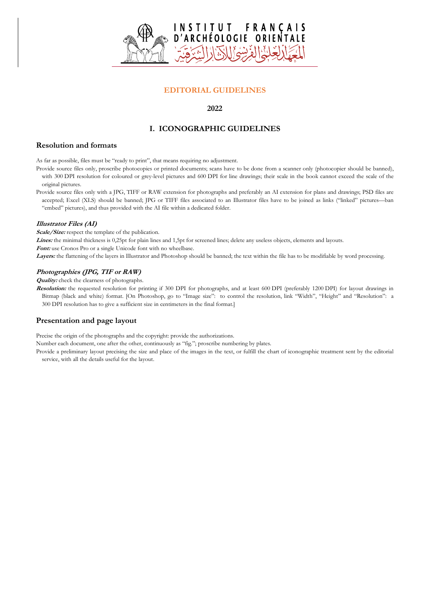

# **EDITORIAL GUIDELINES**

**2022**

# **I. ICONOGRAPHIC GUIDELINES**

## **Resolution and formats**

As far as possible, files must be "ready to print", that means requiring no adjustment.

- Provide source files only, proscribe photocopies or printed documents; scans have to be done from a scanner only (photocopier should be banned), with 300 DPI resolution for coloured or grey-level pictures and 600 DPI for line drawings; their scale in the book cannot exceed the scale of the original pictures.
- Provide source files only with a JPG, TIFF or RAW extension for photographs and preferably an AI extension for plans and drawings; PSD files are accepted; Excel (XLS) should be banned; JPG or TIFF files associated to an Illustrator files have to be joined as links ("linked" pictures—ban "embed" pictures), and thus provided with the AI file within a dedicated folder.

## **Illustrator Files (AI)**

**Scale/Size:** respect the template of the publication.

**Lines:** the minimal thickness is 0,25pt for plain lines and 1,5pt for screened lines; delete any useless objects, elements and layouts.

Font: use Cronos Pro or a single Unicode font with no wheelbase.

Layers: the flattening of the layers in Illustrator and Photoshop should be banned; the text within the file has to be modifiable by word processing.

## **Photographies (JPG, TIF or RAW)**

#### **Quality:** check the clearness of photographs.

**Resolution:** the requested resolution for printing if 300 DPI for photographs, and at least 600 DPI (preferably 1200 DPI) for layout drawings in Bitmap (black and white) format. [On Photoshop, go to "Image size": to control the resolution, link "Width", "Height" and "Resolution": a 300 DPI resolution has to give a sufficient size in centimeters in the final format.]

# **Presentation and page layout**

Precise the origin of the photographs and the copyright: provide the authorizations.

Number each document, one after the other, continuously as "fig."; proscribe numbering by plates.

Provide a preliminary layout precising the size and place of the images in the text, or fulfill the chart of iconographic treatment sent by the editorial service, with all the details useful for the layout.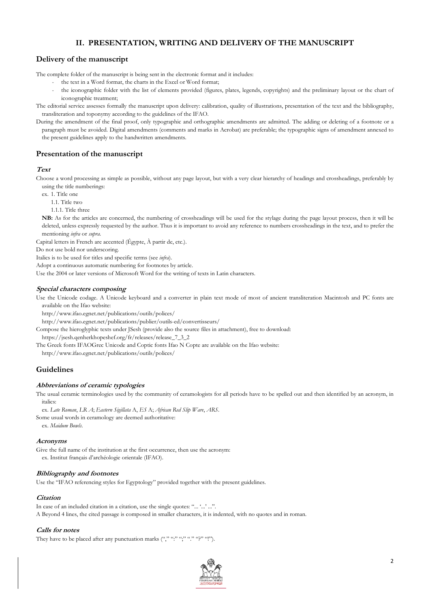# **II. PRESENTATION, WRITING AND DELIVERY OF THE MANUSCRIPT**

# **Delivery of the manuscript**

The complete folder of the manuscript is being sent in the electronic format and it includes:

- the text in a Word format, the charts in the Excel or Word format;
- the iconographic folder with the list of elements provided (figures, plates, legends, copyrights) and the preliminary layout or the chart of iconographic treatment;

The editorial service assesses formally the manuscript upon delivery: calibration, quality of illustrations, presentation of the text and the bibliography, transliteration and toponymy according to the guidelines of the IFAO.

During the amendment of the final proof, only typographic and orthographic amendments are admitted. The adding or deleting of a footnote or a paragraph must be avoided. Digital amendments (comments and marks in Acrobat) are preferable; the typographic signs of amendment annexed to the present guidelines apply to the handwritten amendments.

# **Presentation of the manuscript**

### **Text**

Choose a word processing as simple as possible, without any page layout, but with a very clear hierarchy of headings and crossheadings, preferably by using the title numberings:

ex. 1. Title one

1.1. Title two

1.1.1. Title three

**NB:** As for the articles are concerned, the numbering of crossheadings will be used for the stylage during the page layout process, then it will be deleted, unless expressly requested by the author. Thus it is important to avoid any reference to numbers crossheadings in the text, and to prefer the mentioning *infra* or *supra*.

Capital letters in French are accented (Égypte, À partir de, etc.).

Do not use bold nor underscoring.

In case of an included citation in a citation, use the single quotes: "... '... "...". A Beyond 4 lines, the cited passage is composed in smaller characters, it is indented, with no quotes and in roman.

Italics is to be used for titles and specific terms (see *infra*).

Adopt a continuous automatic numbering for footnotes by article.

Use the 2004 or later versions of Microsoft Word for the writing of texts in Latin characters.

## **Special characters composing**

Use the Unicode codage. A Unicode keyboard and a converter in plain text mode of most of ancient transliteration Macintosh and PC fonts are available on the Ifao website:

http://www.ifao.egnet.net/publications/outils/polices/

http://www.ifao.egnet.net/publications/publier/outils-ed/convertisseurs/

Compose the hieroglyphic texts under JSesh (provide also the source files in attachment), free to download:

https://jsesh.qenherkhopeshef.org/fr/releases/release\_7\_3\_2

The Greek fonts IFAOGrec Unicode and Coptic fonts Ifao N Copte are available on the Ifao website:

http://www.ifao.egnet.net/publications/outils/polices/

# **Guidelines**

## **Abbreviations of ceramic typologies**

The usual ceramic terminologies used by the community of ceramologists for all periods have to be spelled out and then identified by an acronym, in italics:

ex. *Late Roman*, *LR A*; *Eastern Sigillata* A, *ES* A; *African Red Slip Ware*, *ARS*.

Some usual words in ceramology are deemed authoritative:

ex. *Maidum Bowls*.

## **Acronyms**

Give the full name of the institution at the first occurrence, then use the acronym:

ex. Institut français d'archéologie orientale (IFAO).

#### **Bibliography and footnotes**

Use the "IFAO referencing styles for Egyptology" provided together with the present guidelines.

#### **Citation**

#### **Calls for notes**

They have to be placed after any punctuation marks  $(\cdot, \cdot, \cdot, \cdot, \cdot, \cdot, \cdot, \cdot, \cdot, \cdot, \cdot, \cdot, \cdot)$ ".